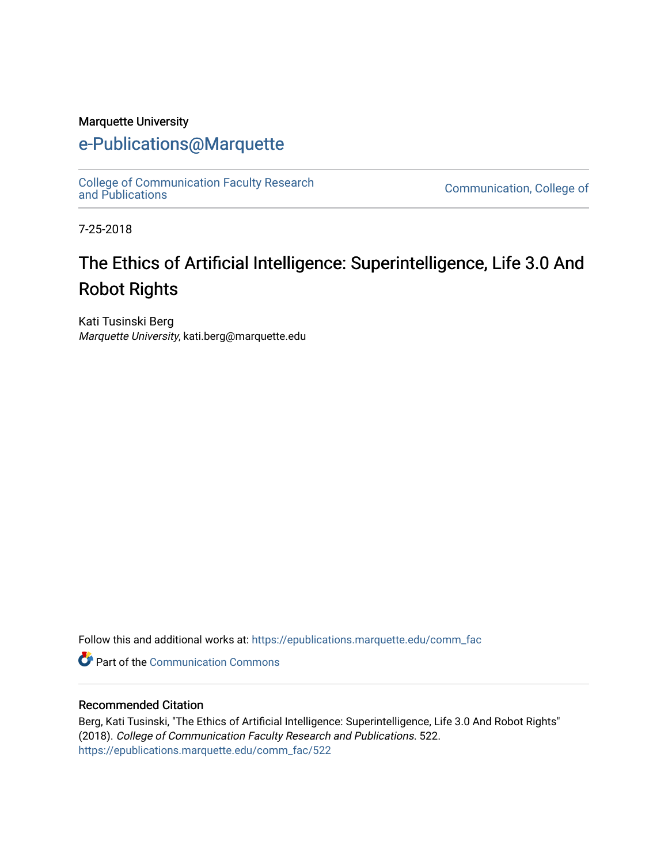### Marquette University

### [e-Publications@Marquette](https://epublications.marquette.edu/)

[College of Communication Faculty Research](https://epublications.marquette.edu/comm_fac)

Communication, College of

7-25-2018

# The Ethics of Artificial Intelligence: Superintelligence, Life 3.0 And Robot Rights

Kati Tusinski Berg Marquette University, kati.berg@marquette.edu

Follow this and additional works at: [https://epublications.marquette.edu/comm\\_fac](https://epublications.marquette.edu/comm_fac?utm_source=epublications.marquette.edu%2Fcomm_fac%2F522&utm_medium=PDF&utm_campaign=PDFCoverPages) 

**C** Part of the Communication Commons

#### Recommended Citation

Berg, Kati Tusinski, "The Ethics of Artificial Intelligence: Superintelligence, Life 3.0 And Robot Rights" (2018). College of Communication Faculty Research and Publications. 522. [https://epublications.marquette.edu/comm\\_fac/522](https://epublications.marquette.edu/comm_fac/522?utm_source=epublications.marquette.edu%2Fcomm_fac%2F522&utm_medium=PDF&utm_campaign=PDFCoverPages)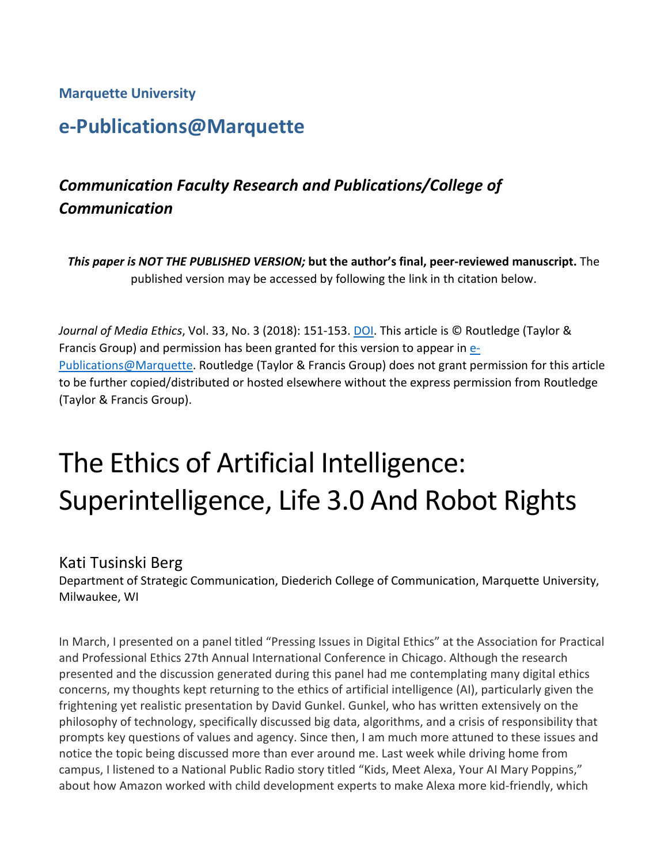**Marquette University**

# **e-Publications@Marquette**

# *Communication Faculty Research and Publications/College of Communication*

*This paper is NOT THE PUBLISHED VERSION;* **but the author's final, peer-reviewed manuscript.** The published version may be accessed by following the link in th citation below.

*Journal of Media Ethics*, Vol. 33, No. 3 (2018): 151-153. [DOI.](https://www.tandfonline.com/doi/full/10.1080/23736992.2018.1482722?scroll=top&needAccess=true) This article is © Routledge (Taylor & Francis Group) and permission has been granted for this version to appear in [e-](http://epublications.marquette.edu/)[Publications@Marquette.](http://epublications.marquette.edu/) Routledge (Taylor & Francis Group) does not grant permission for this article to be further copied/distributed or hosted elsewhere without the express permission from Routledge (Taylor & Francis Group).

# The Ethics of Artificial Intelligence: Superintelligence, Life 3.0 And Robot Rights

### Kati Tusinski Berg

Department of Strategic Communication, Diederich College of Communication, Marquette University, Milwaukee, WI

In March, I presented on a panel titled "Pressing Issues in Digital Ethics" at the Association for Practical and Professional Ethics 27th Annual International Conference in Chicago. Although the research presented and the discussion generated during this panel had me contemplating many digital ethics concerns, my thoughts kept returning to the ethics of artificial intelligence (AI), particularly given the frightening yet realistic presentation by David Gunkel. Gunkel, who has written extensively on the philosophy of technology, specifically discussed big data, algorithms, and a crisis of responsibility that prompts key questions of values and agency. Since then, I am much more attuned to these issues and notice the topic being discussed more than ever around me. Last week while driving home from campus, I listened to a National Public Radio story titled "Kids, Meet Alexa, Your AI Mary Poppins," about how Amazon worked with child development experts to make Alexa more kid-friendly, which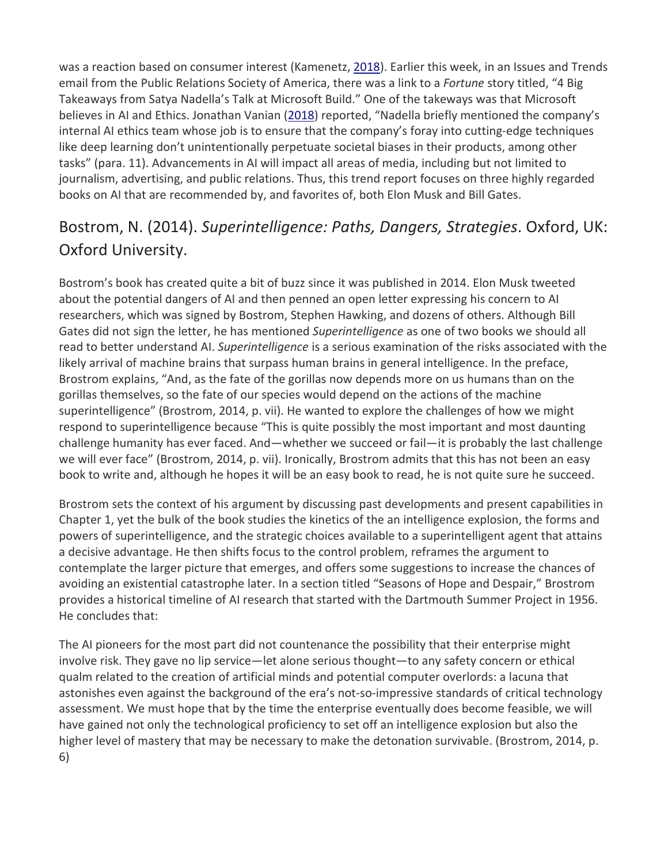was a reaction based on consumer interest (Kamenetz, [2018\)](https://0-www-tandfonline-com.libus.csd.mu.edu/doi/full/10.1080/23736992.2018.1482722). Earlier this week, in an Issues and Trends email from the Public Relations Society of America, there was a link to a *Fortune* story titled, "4 Big Takeaways from Satya Nadella's Talk at Microsoft Build." One of the takeways was that Microsoft believes in AI and Ethics. Jonathan Vanian [\(2018\)](https://0-www-tandfonline-com.libus.csd.mu.edu/doi/full/10.1080/23736992.2018.1482722) reported, "Nadella briefly mentioned the company's internal AI ethics team whose job is to ensure that the company's foray into cutting-edge techniques like deep learning don't unintentionally perpetuate societal biases in their products, among other tasks" (para. 11). Advancements in AI will impact all areas of media, including but not limited to journalism, advertising, and public relations. Thus, this trend report focuses on three highly regarded books on AI that are recommended by, and favorites of, both Elon Musk and Bill Gates.

## Bostrom, N. (2014). *Superintelligence: Paths, Dangers, Strategies*. Oxford, UK: Oxford University.

Bostrom's book has created quite a bit of buzz since it was published in 2014. Elon Musk tweeted about the potential dangers of AI and then penned an open letter expressing his concern to AI researchers, which was signed by Bostrom, Stephen Hawking, and dozens of others. Although Bill Gates did not sign the letter, he has mentioned *Superintelligence* as one of two books we should all read to better understand AI. *Superintelligence* is a serious examination of the risks associated with the likely arrival of machine brains that surpass human brains in general intelligence. In the preface, Brostrom explains, "And, as the fate of the gorillas now depends more on us humans than on the gorillas themselves, so the fate of our species would depend on the actions of the machine superintelligence" (Brostrom, 2014, p. vii). He wanted to explore the challenges of how we might respond to superintelligence because "This is quite possibly the most important and most daunting challenge humanity has ever faced. And—whether we succeed or fail—it is probably the last challenge we will ever face" (Brostrom, 2014, p. vii). Ironically, Brostrom admits that this has not been an easy book to write and, although he hopes it will be an easy book to read, he is not quite sure he succeed.

Brostrom sets the context of his argument by discussing past developments and present capabilities in Chapter 1, yet the bulk of the book studies the kinetics of the an intelligence explosion, the forms and powers of superintelligence, and the strategic choices available to a superintelligent agent that attains a decisive advantage. He then shifts focus to the control problem, reframes the argument to contemplate the larger picture that emerges, and offers some suggestions to increase the chances of avoiding an existential catastrophe later. In a section titled "Seasons of Hope and Despair," Brostrom provides a historical timeline of AI research that started with the Dartmouth Summer Project in 1956. He concludes that:

The AI pioneers for the most part did not countenance the possibility that their enterprise might involve risk. They gave no lip service—let alone serious thought—to any safety concern or ethical qualm related to the creation of artificial minds and potential computer overlords: a lacuna that astonishes even against the background of the era's not-so-impressive standards of critical technology assessment. We must hope that by the time the enterprise eventually does become feasible, we will have gained not only the technological proficiency to set off an intelligence explosion but also the higher level of mastery that may be necessary to make the detonation survivable. (Brostrom, 2014, p. 6)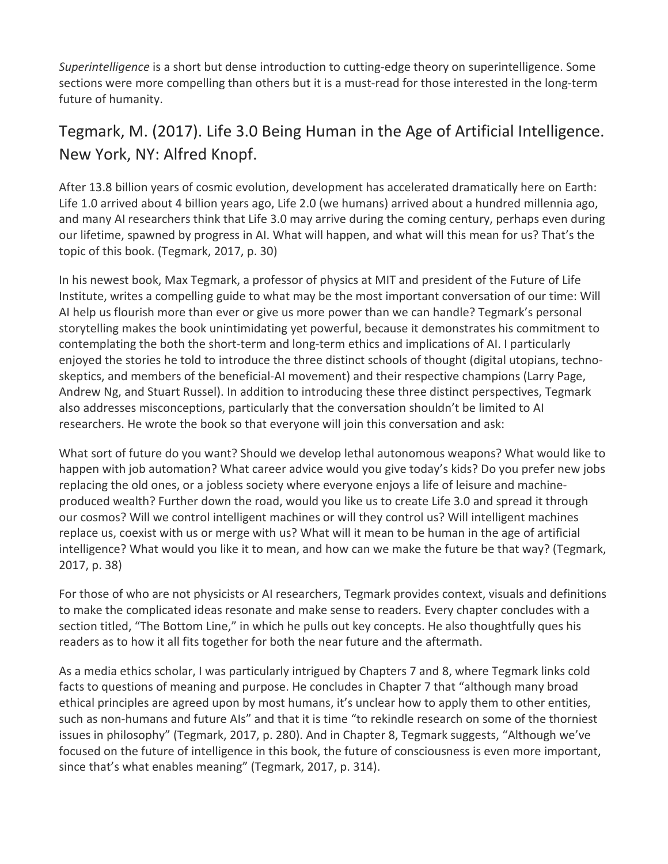*Superintelligence* is a short but dense introduction to cutting-edge theory on superintelligence. Some sections were more compelling than others but it is a must-read for those interested in the long-term future of humanity.

## Tegmark, M. (2017). Life 3.0 Being Human in the Age of Artificial Intelligence. New York, NY: Alfred Knopf.

After 13.8 billion years of cosmic evolution, development has accelerated dramatically here on Earth: Life 1.0 arrived about 4 billion years ago, Life 2.0 (we humans) arrived about a hundred millennia ago, and many AI researchers think that Life 3.0 may arrive during the coming century, perhaps even during our lifetime, spawned by progress in AI. What will happen, and what will this mean for us? That's the topic of this book. (Tegmark, 2017, p. 30)

In his newest book, Max Tegmark, a professor of physics at MIT and president of the Future of Life Institute, writes a compelling guide to what may be the most important conversation of our time: Will AI help us flourish more than ever or give us more power than we can handle? Tegmark's personal storytelling makes the book unintimidating yet powerful, because it demonstrates his commitment to contemplating the both the short-term and long-term ethics and implications of AI. I particularly enjoyed the stories he told to introduce the three distinct schools of thought (digital utopians, technoskeptics, and members of the beneficial-AI movement) and their respective champions (Larry Page, Andrew Ng, and Stuart Russel). In addition to introducing these three distinct perspectives, Tegmark also addresses misconceptions, particularly that the conversation shouldn't be limited to AI researchers. He wrote the book so that everyone will join this conversation and ask:

What sort of future do you want? Should we develop lethal autonomous weapons? What would like to happen with job automation? What career advice would you give today's kids? Do you prefer new jobs replacing the old ones, or a jobless society where everyone enjoys a life of leisure and machineproduced wealth? Further down the road, would you like us to create Life 3.0 and spread it through our cosmos? Will we control intelligent machines or will they control us? Will intelligent machines replace us, coexist with us or merge with us? What will it mean to be human in the age of artificial intelligence? What would you like it to mean, and how can we make the future be that way? (Tegmark, 2017, p. 38)

For those of who are not physicists or AI researchers, Tegmark provides context, visuals and definitions to make the complicated ideas resonate and make sense to readers. Every chapter concludes with a section titled, "The Bottom Line," in which he pulls out key concepts. He also thoughtfully ques his readers as to how it all fits together for both the near future and the aftermath.

As a media ethics scholar, I was particularly intrigued by Chapters 7 and 8, where Tegmark links cold facts to questions of meaning and purpose. He concludes in Chapter 7 that "although many broad ethical principles are agreed upon by most humans, it's unclear how to apply them to other entities, such as non-humans and future AIs" and that it is time "to rekindle research on some of the thorniest issues in philosophy" (Tegmark, 2017, p. 280). And in Chapter 8, Tegmark suggests, "Although we've focused on the future of intelligence in this book, the future of consciousness is even more important, since that's what enables meaning" (Tegmark, 2017, p. 314).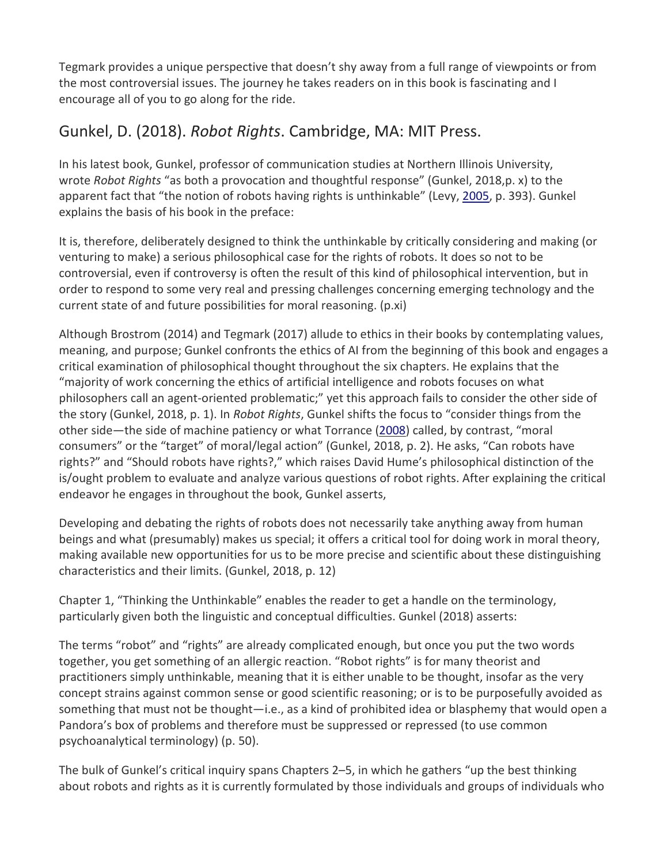Tegmark provides a unique perspective that doesn't shy away from a full range of viewpoints or from the most controversial issues. The journey he takes readers on in this book is fascinating and I encourage all of you to go along for the ride.

### Gunkel, D. (2018). *Robot Rights*. Cambridge, MA: MIT Press.

In his latest book, Gunkel, professor of communication studies at Northern Illinois University, wrote *Robot Rights* "as both a provocation and thoughtful response" (Gunkel, 2018,p. x) to the apparent fact that "the notion of robots having rights is unthinkable" (Levy, [2005,](https://0-www-tandfonline-com.libus.csd.mu.edu/doi/full/10.1080/23736992.2018.1482722) p. 393). Gunkel explains the basis of his book in the preface:

It is, therefore, deliberately designed to think the unthinkable by critically considering and making (or venturing to make) a serious philosophical case for the rights of robots. It does so not to be controversial, even if controversy is often the result of this kind of philosophical intervention, but in order to respond to some very real and pressing challenges concerning emerging technology and the current state of and future possibilities for moral reasoning. (p.xi)

Although Brostrom (2014) and Tegmark (2017) allude to ethics in their books by contemplating values, meaning, and purpose; Gunkel confronts the ethics of AI from the beginning of this book and engages a critical examination of philosophical thought throughout the six chapters. He explains that the "majority of work concerning the ethics of artificial intelligence and robots focuses on what philosophers call an agent-oriented problematic;" yet this approach fails to consider the other side of the story (Gunkel, 2018, p. 1). In *Robot Rights*, Gunkel shifts the focus to "consider things from the other side—the side of machine patiency or what Torrance [\(2008\)](https://0-www-tandfonline-com.libus.csd.mu.edu/doi/full/10.1080/23736992.2018.1482722) called, by contrast, "moral consumers" or the "target" of moral/legal action" (Gunkel, 2018, p. 2). He asks, "Can robots have rights?" and "Should robots have rights?," which raises David Hume's philosophical distinction of the is/ought problem to evaluate and analyze various questions of robot rights. After explaining the critical endeavor he engages in throughout the book, Gunkel asserts,

Developing and debating the rights of robots does not necessarily take anything away from human beings and what (presumably) makes us special; it offers a critical tool for doing work in moral theory, making available new opportunities for us to be more precise and scientific about these distinguishing characteristics and their limits. (Gunkel, 2018, p. 12)

Chapter 1, "Thinking the Unthinkable" enables the reader to get a handle on the terminology, particularly given both the linguistic and conceptual difficulties. Gunkel (2018) asserts:

The terms "robot" and "rights" are already complicated enough, but once you put the two words together, you get something of an allergic reaction. "Robot rights" is for many theorist and practitioners simply unthinkable, meaning that it is either unable to be thought, insofar as the very concept strains against common sense or good scientific reasoning; or is to be purposefully avoided as something that must not be thought—i.e., as a kind of prohibited idea or blasphemy that would open a Pandora's box of problems and therefore must be suppressed or repressed (to use common psychoanalytical terminology) (p. 50).

The bulk of Gunkel's critical inquiry spans Chapters 2–5, in which he gathers "up the best thinking about robots and rights as it is currently formulated by those individuals and groups of individuals who